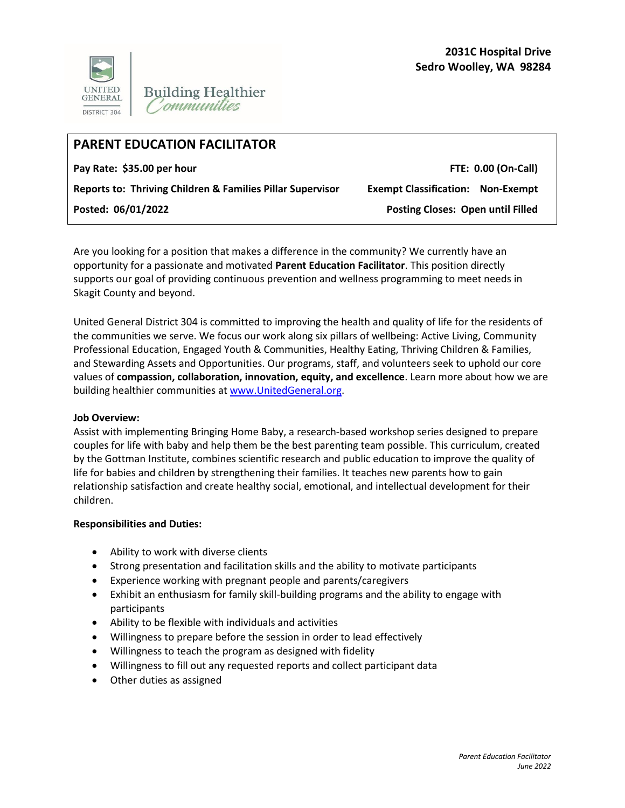

# **PARENT EDUCATION FACILITATOR**

Pay Rate: \$35.00 per hour **FTE: 0.00 (On-Call**)

**Reports to: Thriving Children & Families Pillar Supervisor Exempt Classification: Non-Exempt** 

**Posted: 06/01/2022 Posting Closes: Open until Filled** 

Are you looking for a position that makes a difference in the community? We currently have an opportunity for a passionate and motivated **Parent Education Facilitator**. This position directly supports our goal of providing continuous prevention and wellness programming to meet needs in Skagit County and beyond.

United General District 304 is committed to improving the health and quality of life for the residents of the communities we serve. We focus our work along six pillars of wellbeing: Active Living, Community Professional Education, Engaged Youth & Communities, Healthy Eating, Thriving Children & Families, and Stewarding Assets and Opportunities. Our programs, staff, and volunteers seek to uphold our core values of **compassion, collaboration, innovation, equity, and excellence**. Learn more about how we are building healthier communities at [www.UnitedGeneral.org.](http://www.unitedgeneral.org/)

## **Job Overview:**

Assist with implementing Bringing Home Baby, a research-based workshop series designed to prepare couples for life with baby and help them be the best parenting team possible. This curriculum, created by the Gottman Institute, combines scientific research and public education to improve the quality of life for babies and children by strengthening their families. It teaches new parents how to gain relationship satisfaction and create healthy social, emotional, and intellectual development for their children.

## **Responsibilities and Duties:**

- Ability to work with diverse clients
- Strong presentation and facilitation skills and the ability to motivate participants
- Experience working with pregnant people and parents/caregivers
- Exhibit an enthusiasm for family skill-building programs and the ability to engage with participants
- Ability to be flexible with individuals and activities
- Willingness to prepare before the session in order to lead effectively
- Willingness to teach the program as designed with fidelity
- Willingness to fill out any requested reports and collect participant data
- Other duties as assigned